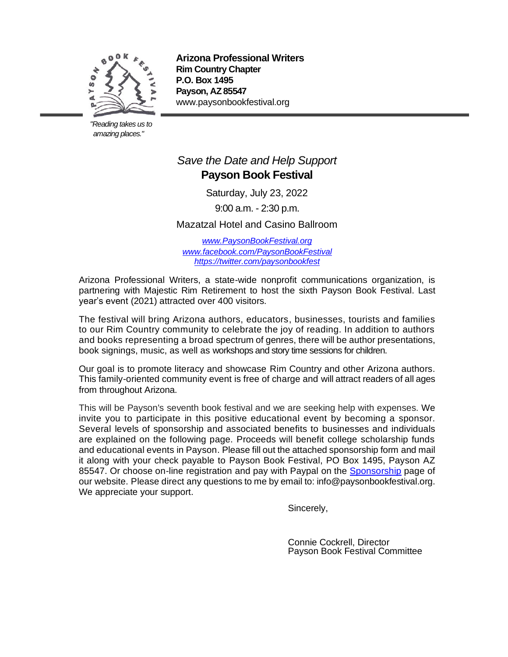

 *"Reading takes us to amazing places."* 

**Arizona Professional Writers Rim Country Chapter P.O. Box 1495 Payson, AZ 85547**  www.paysonbookfestival.org

# *Save the Date and Help Support* **Payson Book Festival**

Saturday, July 23, 2022

9:00 a.m. - 2:30 p.m.

Mazatzal Hotel and Casino Ballroom

*[www.PaysonBookFestival.org](file:///C:/Users/RanOrCon/Documents/cjcltrs/Book%20Festival/Forms/www.PaysonBookFestival.org) [www.facebook.com/PaysonBookFestival](http://www.facebook.com/PaysonBookFestival) <https://twitter.com/paysonbookfest>*

Arizona Professional Writers, a state-wide nonprofit communications organization, is partnering with Majestic Rim Retirement to host the sixth Payson Book Festival. Last year's event (2021) attracted over 400 visitors.

The festival will bring Arizona authors, educators, businesses, tourists and families to our Rim Country community to celebrate the joy of reading. In addition to authors and books representing a broad spectrum of genres, there will be author presentations, book signings, music, as well as workshops and story time sessions for children.

Our goal is to promote literacy and showcase Rim Country and other Arizona authors. This family-oriented community event is free of charge and will attract readers of all ages from throughout Arizona.

This will be Payson's seventh book festival and we are seeking help with expenses. We invite you to participate in this positive educational event by becoming a sponsor. Several levels of sponsorship and associated benefits to businesses and individuals are explained on the following page. Proceeds will benefit college scholarship funds and educational events in Payson. Please fill out the attached sponsorship form and mail it along with your check payable to Payson Book Festival, PO Box 1495, Payson AZ 85547. Or choose on-line registration and pay with Paypal on the [Sponsorship](http://www.paysonbookfestival.org/sponsor-levels/) page of our website. Please direct any questions to me by email to: info@paysonbookfestival.org. We appreciate your support.

Sincerely,

Connie Cockrell, Director Payson Book Festival Committee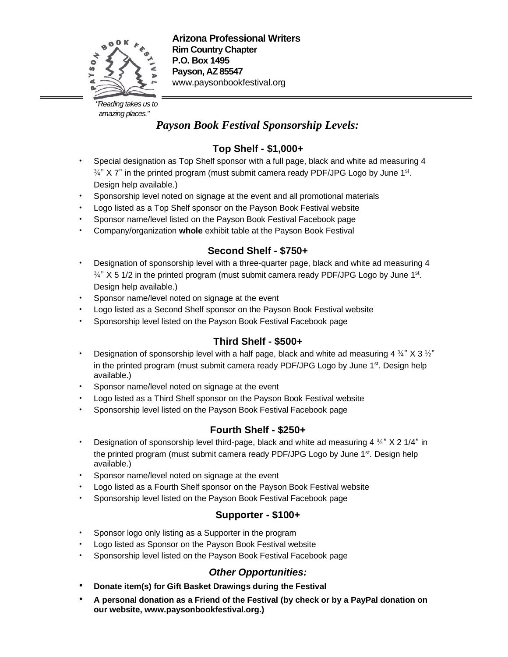

 *"Reading takes us to amazing places."* 

# *Payson Book Festival Sponsorship Levels:*

## **Top Shelf - \$1,000+**

- Special designation as Top Shelf sponsor with a full page, black and white ad measuring 4  $\frac{3}{4}$ " X 7" in the printed program (must submit camera ready PDF/JPG Logo by June 1st. Design help available.)
- Sponsorship level noted on signage at the event and all promotional materials
- Logo listed as a Top Shelf sponsor on the Payson Book Festival website
- Sponsor name/level listed on the Payson Book Festival Facebook page
- Company/organization **whole** exhibit table at the Payson Book Festival

## **Second Shelf - \$750+**

- Designation of sponsorship level with a three-quarter page, black and white ad measuring 4  $\frac{3}{4}$ " X 5 1/2 in the printed program (must submit camera ready PDF/JPG Logo by June 1st. Design help available.)
- Sponsor name/level noted on signage at the event
- Logo listed as a Second Shelf sponsor on the Payson Book Festival website
- Sponsorship level listed on the Payson Book Festival Facebook page

### **Third Shelf - \$500+**

- Designation of sponsorship level with a half page, black and white ad measuring 4  $\frac{3}{4}$ " X 3  $\frac{1}{2}$ " in the printed program (must submit camera ready PDF/JPG Logo by June 1<sup>st</sup>. Design help available.)
- Sponsor name/level noted on signage at the event
- Logo listed as a Third Shelf sponsor on the Payson Book Festival website
- Sponsorship level listed on the Payson Book Festival Facebook page

### **Fourth Shelf - \$250+**

- Designation of sponsorship level third-page, black and white ad measuring 4  $\frac{3}{4}$ " X 2 1/4" in the printed program (must submit camera ready PDF/JPG Logo by June 1<sup>st</sup>. Design help available.)
- Sponsor name/level noted on signage at the event
- Logo listed as a Fourth Shelf sponsor on the Payson Book Festival website
- Sponsorship level listed on the Payson Book Festival Facebook page

### **Supporter - \$100+**

- Sponsor logo only listing as a Supporter in the program
- Logo listed as Sponsor on the Payson Book Festival website
- Sponsorship level listed on the Payson Book Festival Facebook page

### *Other Opportunities:*

- **• Donate item(s) for Gift Basket Drawings during the Festival**
- **• A personal donation as a Friend of the Festival (by check or by a PayPal donation on our website, www.paysonbookfestival.org.)**